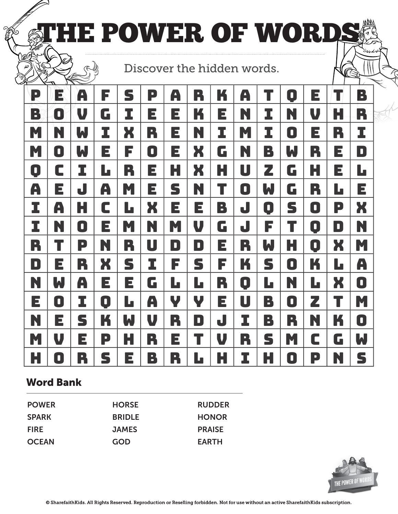|                |                     | THE POWER OF WORDS |                |              |                |                            |                                       |           |              |                |                |                |                |                |
|----------------|---------------------|--------------------|----------------|--------------|----------------|----------------------------|---------------------------------------|-----------|--------------|----------------|----------------|----------------|----------------|----------------|
| `@O            |                     |                    |                |              |                | Discover the hidden words. |                                       |           |              |                |                |                |                | (R             |
| $\blacksquare$ | E                   | A                  | F              | S            | B              | A                          | R                                     | K         | A            |                | $\blacksquare$ | E              |                | P              |
| R              | $\mathbf{C}$        | U                  | G              | I            | Е              | E                          |                                       | Е         | N            | I              | N              | V              | Н              | R              |
| M              | N                   | W                  | I              | X            | R              | Е                          | N                                     | I         | M            | I              | O              | E              | R              | I              |
| M              | $\blacksquare$      | W                  | Е              | F            | $\blacksquare$ | E                          | X                                     | G         | N            | В              | W              | R              | E              | $\blacksquare$ |
| $\blacksquare$ | C                   |                    | L              | R            | E              | Н                          | X                                     | Н         | U            | Z              | G              | Н              | Е              | Ŀ              |
| A              | Е                   | J                  | A              | M            | Е              | S                          | N                                     |           | O            | W              | G              | R              | Lo             | E              |
|                | A                   | H                  | C              | $\mathbf{L}$ | Ж              | E                          | Е                                     | B         | J            | O              | S              | D              | P              | X              |
| I              | N                   | $\blacksquare$     | Е              | M            | N              | M                          | V                                     | G         | J            | F              |                | $\blacksquare$ | $\blacksquare$ | N              |
| R              |                     | P                  | N              | R            | U              | $\blacksquare$             | $\blacksquare$                        | E         | R            | W,             | Н              | $\blacksquare$ | X              | M              |
| $\blacksquare$ | E                   | R                  | X              | S            | I              | F                          | S                                     | F         | K            | S              | $\blacksquare$ | K              | L              | A              |
| N              | W                   | A                  | E              | E            | 6              | L                          | Lo                                    | R         | O            | L              | N              | $\mathbf{L}$   | X              | O              |
| E              | $\blacksquare$      |                    | $\blacksquare$ | l c          | $\mathbf{A}$   | V                          | U                                     | Е         | $\mathsf{U}$ | $\mathbb{R}^2$ | $\blacksquare$ | Ζ              |                | M              |
|                | Е                   | S                  |                | W,           |                | R                          | $\begin{array}{c} \hline \end{array}$ | $\bigcup$ |              | B              | R              |                |                | $\blacksquare$ |
| M              | U                   | E                  | P              | Н            | R              | Е                          |                                       | V         | R            | S              | M              | C              | G              | W              |
| H              | $\ddot{\mathbf{Q}}$ | R                  | S              | Е            | B              | R                          | Ŀ                                     | H         |              | H              | $\blacksquare$ | P              | N              | S              |

## Word Bank

| <b>HORSE</b>  | <b>RUDDER</b> |
|---------------|---------------|
| <b>BRIDLE</b> | <b>HONOR</b>  |
| <b>JAMES</b>  | <b>PRAISE</b> |
| GOD           | <b>EARTH</b>  |
|               |               |